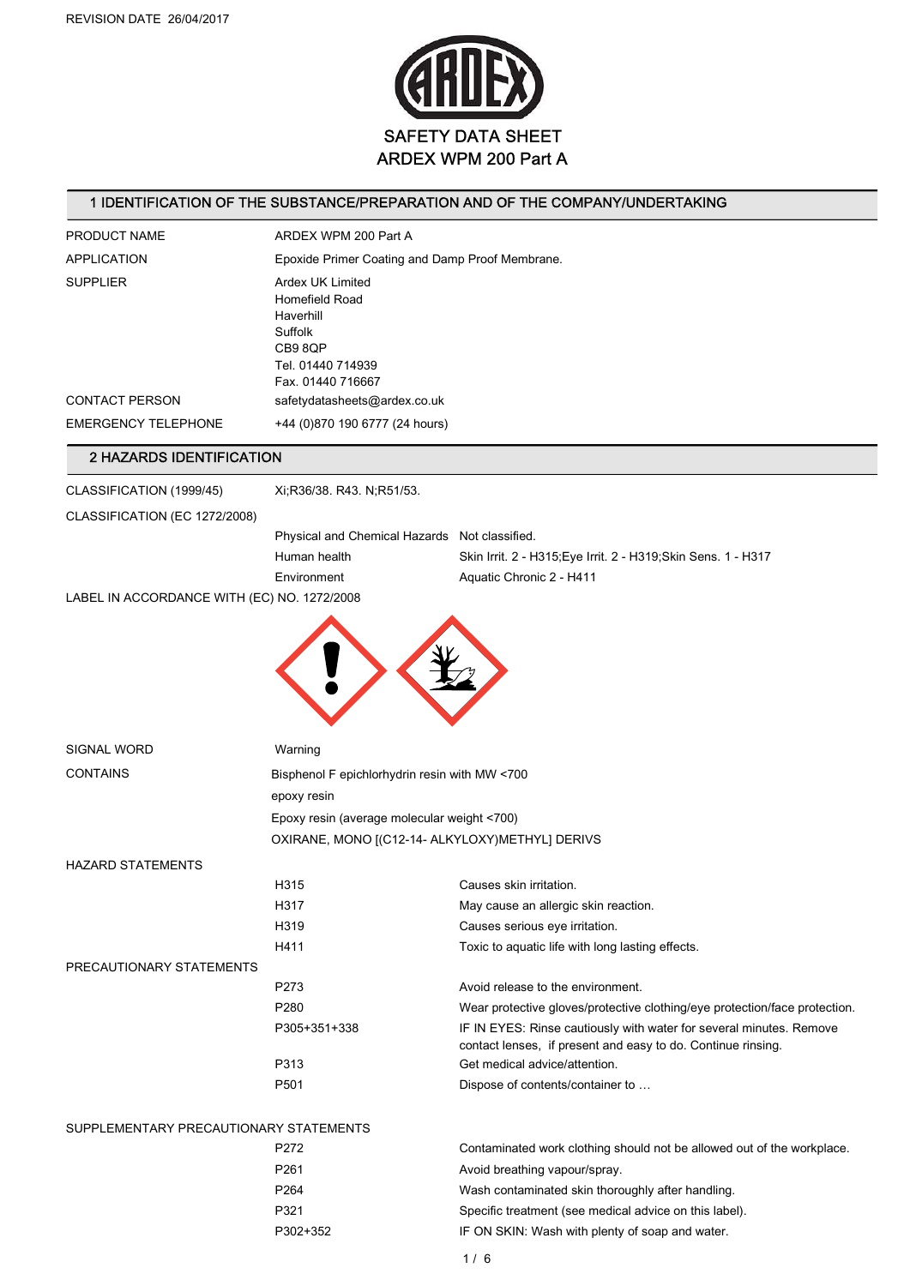

### 1 IDENTIFICATION OF THE SUBSTANCE/PREPARATION AND OF THE COMPANY/UNDERTAKING

| PRODUCT NAME                                | ARDEX WPM 200 Part A                                                                                            |                                                                                                                                     |  |  |
|---------------------------------------------|-----------------------------------------------------------------------------------------------------------------|-------------------------------------------------------------------------------------------------------------------------------------|--|--|
| <b>APPLICATION</b>                          | Epoxide Primer Coating and Damp Proof Membrane.                                                                 |                                                                                                                                     |  |  |
| <b>SUPPLIER</b>                             | Ardex UK Limited<br>Homefield Road<br>Haverhill<br>Suffolk<br>CB9 8QP<br>Tel. 01440 714939<br>Fax. 01440 716667 |                                                                                                                                     |  |  |
| <b>CONTACT PERSON</b>                       | safetydatasheets@ardex.co.uk                                                                                    |                                                                                                                                     |  |  |
| <b>EMERGENCY TELEPHONE</b>                  | +44 (0)870 190 6777 (24 hours)                                                                                  |                                                                                                                                     |  |  |
| 2 HAZARDS IDENTIFICATION                    |                                                                                                                 |                                                                                                                                     |  |  |
| CLASSIFICATION (1999/45)                    | Xi;R36/38. R43. N;R51/53.                                                                                       |                                                                                                                                     |  |  |
| CLASSIFICATION (EC 1272/2008)               |                                                                                                                 |                                                                                                                                     |  |  |
|                                             | Physical and Chemical Hazards Not classified.                                                                   |                                                                                                                                     |  |  |
|                                             | Human health                                                                                                    | Skin Irrit. 2 - H315; Eye Irrit. 2 - H319; Skin Sens. 1 - H317                                                                      |  |  |
|                                             | Environment                                                                                                     | Aquatic Chronic 2 - H411                                                                                                            |  |  |
| LABEL IN ACCORDANCE WITH (EC) NO. 1272/2008 |                                                                                                                 |                                                                                                                                     |  |  |
|                                             |                                                                                                                 |                                                                                                                                     |  |  |
| SIGNAL WORD                                 | Warning                                                                                                         |                                                                                                                                     |  |  |
| <b>CONTAINS</b>                             | Bisphenol F epichlorhydrin resin with MW <700                                                                   |                                                                                                                                     |  |  |
|                                             | epoxy resin                                                                                                     |                                                                                                                                     |  |  |
|                                             | Epoxy resin (average molecular weight <700)                                                                     |                                                                                                                                     |  |  |
|                                             | OXIRANE, MONO [(C12-14- ALKYLOXY) METHYL] DERIVS                                                                |                                                                                                                                     |  |  |
| <b>HAZARD STATEMENTS</b>                    |                                                                                                                 |                                                                                                                                     |  |  |
|                                             | H315                                                                                                            | Causes skin irritation.                                                                                                             |  |  |
|                                             | H317                                                                                                            | May cause an allergic skin reaction.                                                                                                |  |  |
|                                             | H319                                                                                                            | Causes serious eye irritation.                                                                                                      |  |  |
|                                             | H411                                                                                                            | Toxic to aquatic life with long lasting effects.                                                                                    |  |  |
| PRECAUTIONARY STATEMENTS                    | P273                                                                                                            | Avoid release to the environment.                                                                                                   |  |  |
|                                             | P280                                                                                                            | Wear protective gloves/protective clothing/eye protection/face protection.                                                          |  |  |
|                                             | P305+351+338                                                                                                    | IF IN EYES: Rinse cautiously with water for several minutes. Remove<br>contact lenses, if present and easy to do. Continue rinsing. |  |  |
|                                             | P313                                                                                                            | Get medical advice/attention.                                                                                                       |  |  |
|                                             | P501                                                                                                            | Dispose of contents/container to                                                                                                    |  |  |
| SUPPLEMENTARY PRECAUTIONARY STATEMENTS      |                                                                                                                 |                                                                                                                                     |  |  |
|                                             | P272                                                                                                            | Contaminated work clothing should not be allowed out of the workplace.                                                              |  |  |
|                                             | P261                                                                                                            | Avoid breathing vapour/spray.                                                                                                       |  |  |
|                                             | P264                                                                                                            | Wash contaminated skin thoroughly after handling.                                                                                   |  |  |
|                                             | P321                                                                                                            | Specific treatment (see medical advice on this label).                                                                              |  |  |
|                                             | P302+352                                                                                                        | IF ON SKIN: Wash with plenty of soap and water.                                                                                     |  |  |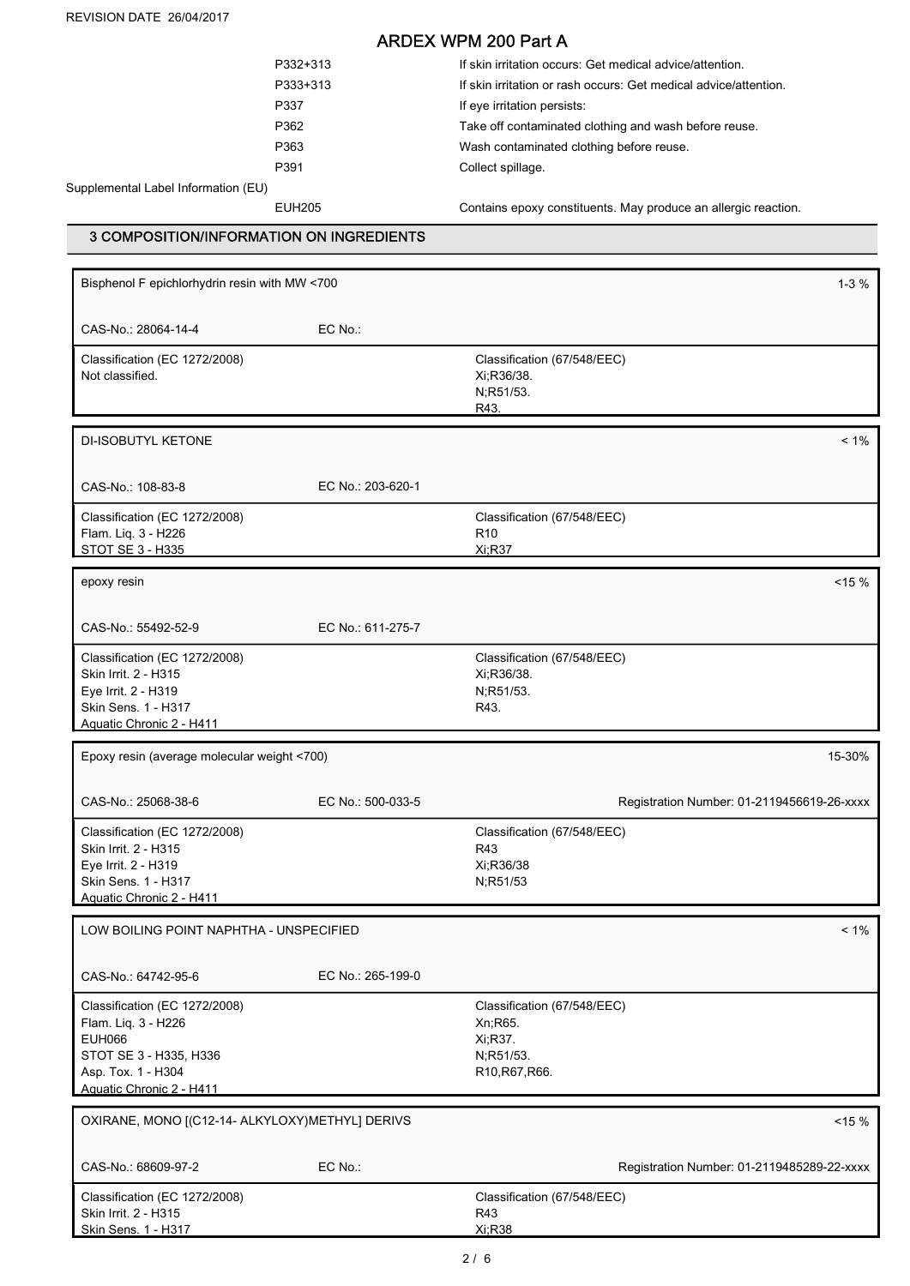REVISION DATE 26/04/2017

# ARDEX WPM 200 Part A

|     | P332+313 | If skin irritation occurs: Get medical advice/attention.         |
|-----|----------|------------------------------------------------------------------|
|     | P333+313 | If skin irritation or rash occurs: Get medical advice/attention. |
|     | P337     | If eye irritation persists:                                      |
|     | P362     | Take off contaminated clothing and wash before reuse.            |
|     | P363     | Wash contaminated clothing before reuse.                         |
|     | P391     | Collect spillage.                                                |
| EU) |          |                                                                  |
|     |          |                                                                  |

Supplemental Label Information (I

EUH205 Contains epoxy constituents. May produce an allergic reaction.

### 3 COMPOSITION/INFORMATION ON INGREDIENTS

| Bisphenol F epichlorhydrin resin with MW <700    |                   |                                                                | $1 - 3 \%$ |
|--------------------------------------------------|-------------------|----------------------------------------------------------------|------------|
| CAS-No.: 28064-14-4                              | EC No.:           |                                                                |            |
| Classification (EC 1272/2008)<br>Not classified. |                   | Classification (67/548/EEC)<br>Xi;R36/38.<br>N;R51/53.<br>R43. |            |
| DI-ISOBUTYL KETONE                               |                   |                                                                | $< 1\%$    |
|                                                  |                   |                                                                |            |
| CAS-No.: 108-83-8                                | EC No.: 203-620-1 |                                                                |            |
| Classification (EC 1272/2008)                    |                   | Classification (67/548/EEC)                                    |            |
| Flam. Liq. 3 - H226<br>STOT SE 3 - H335          |                   | R <sub>10</sub><br>Xi:R37                                      |            |
|                                                  |                   |                                                                |            |
| epoxy resin                                      |                   |                                                                | $15 \%$    |
| CAS-No.: 55492-52-9                              | EC No.: 611-275-7 |                                                                |            |
| Classification (EC 1272/2008)                    |                   | Classification (67/548/EEC)                                    |            |
| Skin Irrit. 2 - H315                             |                   | Xi;R36/38.                                                     |            |
| Eye Irrit. 2 - H319<br>Skin Sens. 1 - H317       |                   | N;R51/53.<br>R43.                                              |            |
| Aquatic Chronic 2 - H411                         |                   |                                                                |            |
| Epoxy resin (average molecular weight <700)      |                   |                                                                | 15-30%     |
| CAS-No.: 25068-38-6                              | EC No.: 500-033-5 | Registration Number: 01-2119456619-26-xxxx                     |            |
| Classification (EC 1272/2008)                    |                   | Classification (67/548/EEC)                                    |            |
| Skin Irrit. 2 - H315                             |                   | R43                                                            |            |
| Eye Irrit. 2 - H319                              |                   | Xi;R36/38                                                      |            |
| Skin Sens. 1 - H317<br>Aquatic Chronic 2 - H411  |                   | N;R51/53                                                       |            |
|                                                  |                   |                                                                |            |
| LOW BOILING POINT NAPHTHA - UNSPECIFIED          |                   |                                                                | $< 1\%$    |
| CAS-No.: 64742-95-6                              | EC No.: 265-199-0 |                                                                |            |
| Classification (EC 1272/2008)                    |                   | Classification (67/548/EEC)                                    |            |
| Flam. Liq. 3 - H226                              |                   | Xn;R65.                                                        |            |
| <b>EUH066</b><br>STOT SE 3 - H335, H336          |                   | Xi, R37.<br>N;R51/53.                                          |            |
| Asp. Tox. 1 - H304                               |                   | R10, R67, R66.                                                 |            |
| Aquatic Chronic 2 - H411                         |                   |                                                                |            |
| OXIRANE, MONO [(C12-14- ALKYLOXY) METHYL] DERIVS |                   |                                                                | $< 15 \%$  |
| CAS-No.: 68609-97-2                              | EC No.:           | Registration Number: 01-2119485289-22-xxxx                     |            |
| Classification (EC 1272/2008)                    |                   | Classification (67/548/EEC)                                    |            |
| Skin Irrit. 2 - H315                             |                   | R43                                                            |            |
| Skin Sens. 1 - H317                              |                   | Xi:R38                                                         |            |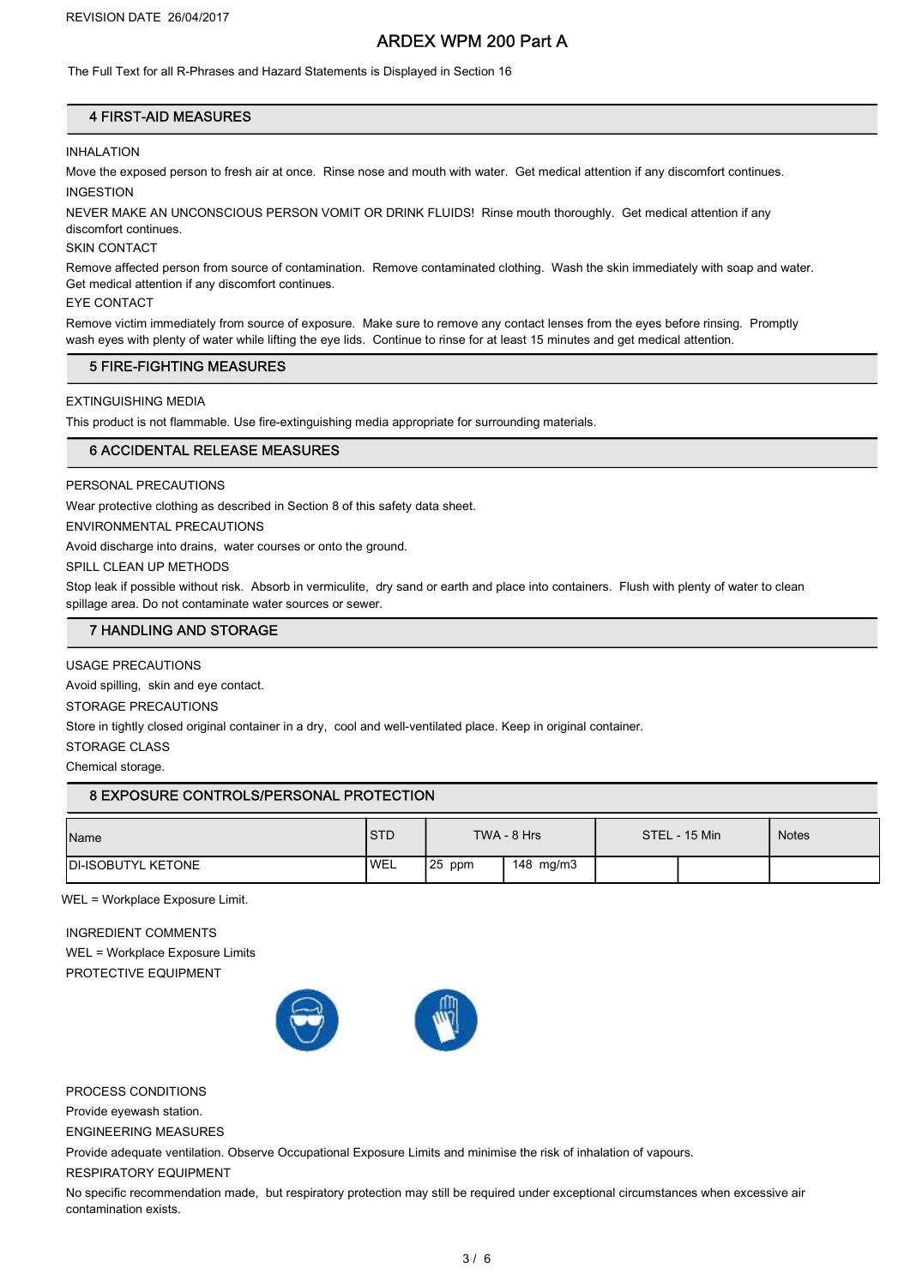# ARDEX WPM 200 Part A

The Full Text for all R-Phrases and Hazard Statements is Displayed in Section 16

### 4 FIRST-AID MEASURES

#### **INHALATION**

Move the exposed person to fresh air at once. Rinse nose and mouth with water. Get medical attention if any discomfort continues. INGESTION

NEVER MAKE AN UNCONSCIOUS PERSON VOMIT OR DRINK FLUIDS! Rinse mouth thoroughly. Get medical attention if any discomfort continues.

SKIN CONTACT

Remove affected person from source of contamination. Remove contaminated clothing. Wash the skin immediately with soap and water. Get medical attention if any discomfort continues.

#### EYE CONTACT

Remove victim immediately from source of exposure. Make sure to remove any contact lenses from the eyes before rinsing. Promptly wash eyes with plenty of water while lifting the eye lids. Continue to rinse for at least 15 minutes and get medical attention.

### 5 FIRE-FIGHTING MEASURES

EXTINGUISHING MEDIA

This product is not flammable. Use fire-extinguishing media appropriate for surrounding materials.

#### 6 ACCIDENTAL RELEASE MEASURES

PERSONAL PRECAUTIONS

Wear protective clothing as described in Section 8 of this safety data sheet.

ENVIRONMENTAL PRECAUTIONS

Avoid discharge into drains, water courses or onto the ground.

SPILL CLEAN UP METHODS

Stop leak if possible without risk. Absorb in vermiculite, dry sand or earth and place into containers. Flush with plenty of water to clean spillage area. Do not contaminate water sources or sewer.

### 7 HANDLING AND STORAGE

USAGE PRECAUTIONS

Avoid spilling, skin and eye contact.

STORAGE PRECAUTIONS

Store in tightly closed original container in a dry, cool and well-ventilated place. Keep in original container.

STORAGE CLASS

Chemical storage.

### 8 EXPOSURE CONTROLS/PERSONAL PROTECTION

| Name                       | <b>STD</b> | TWA - 8 Hrs |           | STEL - 15 Min |  | <b>Notes</b> |
|----------------------------|------------|-------------|-----------|---------------|--|--------------|
| <b>IDI-ISOBUTYL KETONE</b> | <b>WEL</b> | $25$ ppm    | 148 mg/m3 |               |  |              |

WEL = Workplace Exposure Limit.

INGREDIENT COMMENTS WEL = Workplace Exposure Limits PROTECTIVE EQUIPMENT



PROCESS CONDITIONS

Provide eyewash station.

ENGINEERING MEASURES

Provide adequate ventilation. Observe Occupational Exposure Limits and minimise the risk of inhalation of vapours.

RESPIRATORY EQUIPMENT

No specific recommendation made, but respiratory protection may still be required under exceptional circumstances when excessive air contamination exists.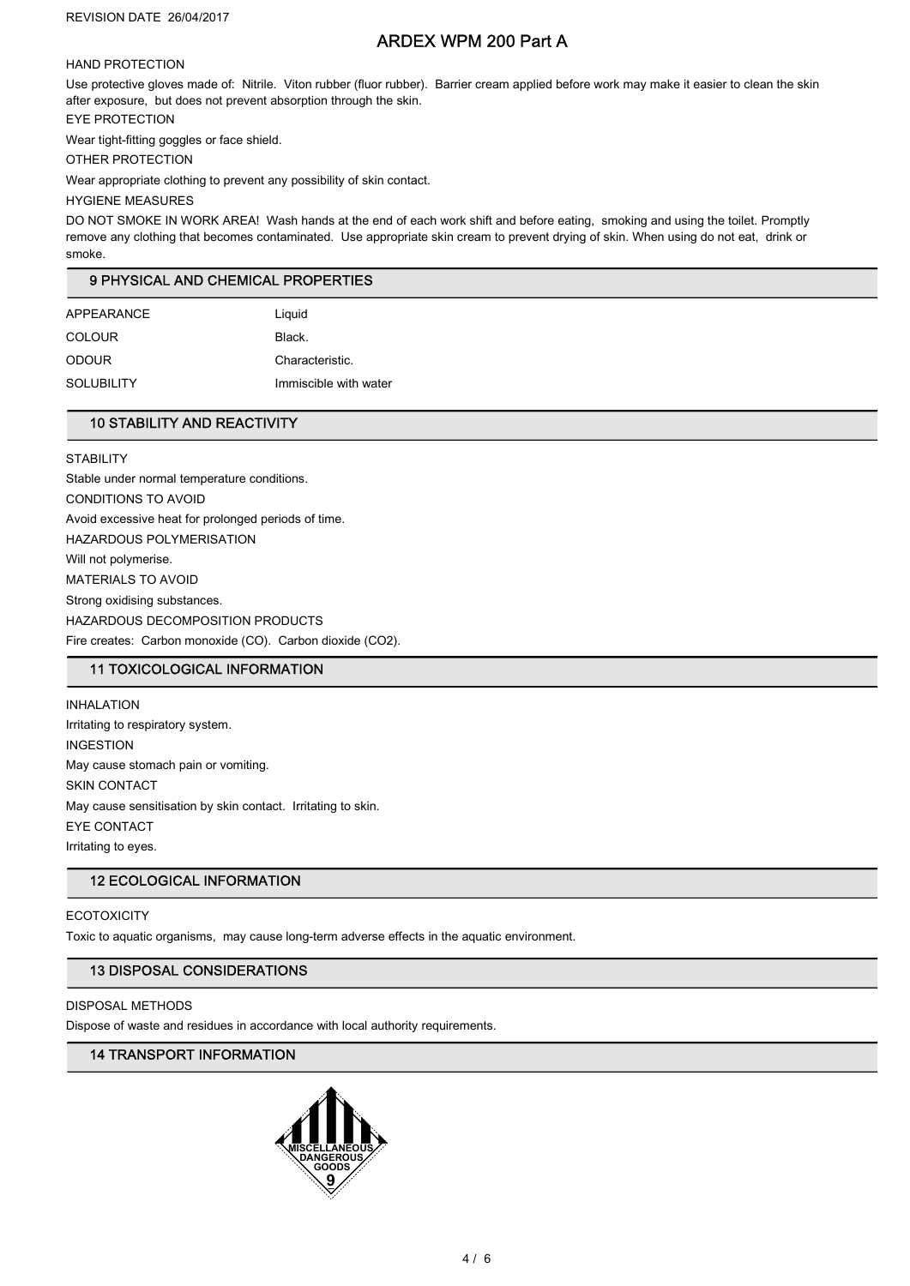# ARDEX WPM 200 Part A

### HAND PROTECTION

Use protective gloves made of: Nitrile. Viton rubber (fluor rubber). Barrier cream applied before work may make it easier to clean the skin after exposure, but does not prevent absorption through the skin.

EYE PROTECTION

Wear tight-fitting goggles or face shield.

OTHER PROTECTION

Wear appropriate clothing to prevent any possibility of skin contact.

#### HYGIENE MEASURES

DO NOT SMOKE IN WORK AREA! Wash hands at the end of each work shift and before eating, smoking and using the toilet. Promptly remove any clothing that becomes contaminated. Use appropriate skin cream to prevent drying of skin. When using do not eat, drink or smoke.

## 9 PHYSICAL AND CHEMICAL PROPERTIES

| APPEARANCE    | Liquid                |
|---------------|-----------------------|
| <b>COLOUR</b> | Black.                |
| <b>ODOUR</b>  | Characteristic.       |
| SOLUBILITY    | Immiscible with water |

## 10 STABILITY AND REACTIVITY

**STABILITY** Stable under normal temperature conditions. CONDITIONS TO AVOID Avoid excessive heat for prolonged periods of time. HAZARDOUS POLYMERISATION Will not polymerise. MATERIALS TO AVOID Strong oxidising substances. HAZARDOUS DECOMPOSITION PRODUCTS Fire creates: Carbon monoxide (CO). Carbon dioxide (CO2).

### 11 TOXICOLOGICAL INFORMATION

INHALATION Irritating to respiratory system. INGESTION May cause stomach pain or vomiting. SKIN CONTACT May cause sensitisation by skin contact. Irritating to skin. EYE CONTACT Irritating to eyes.

### 12 ECOLOGICAL INFORMATION

### **ECOTOXICITY**

Toxic to aquatic organisms, may cause long-term adverse effects in the aquatic environment.

### 13 DISPOSAL CONSIDERATIONS

#### DISPOSAL METHODS

Dispose of waste and residues in accordance with local authority requirements.

### 14 TRANSPORT INFORMATION

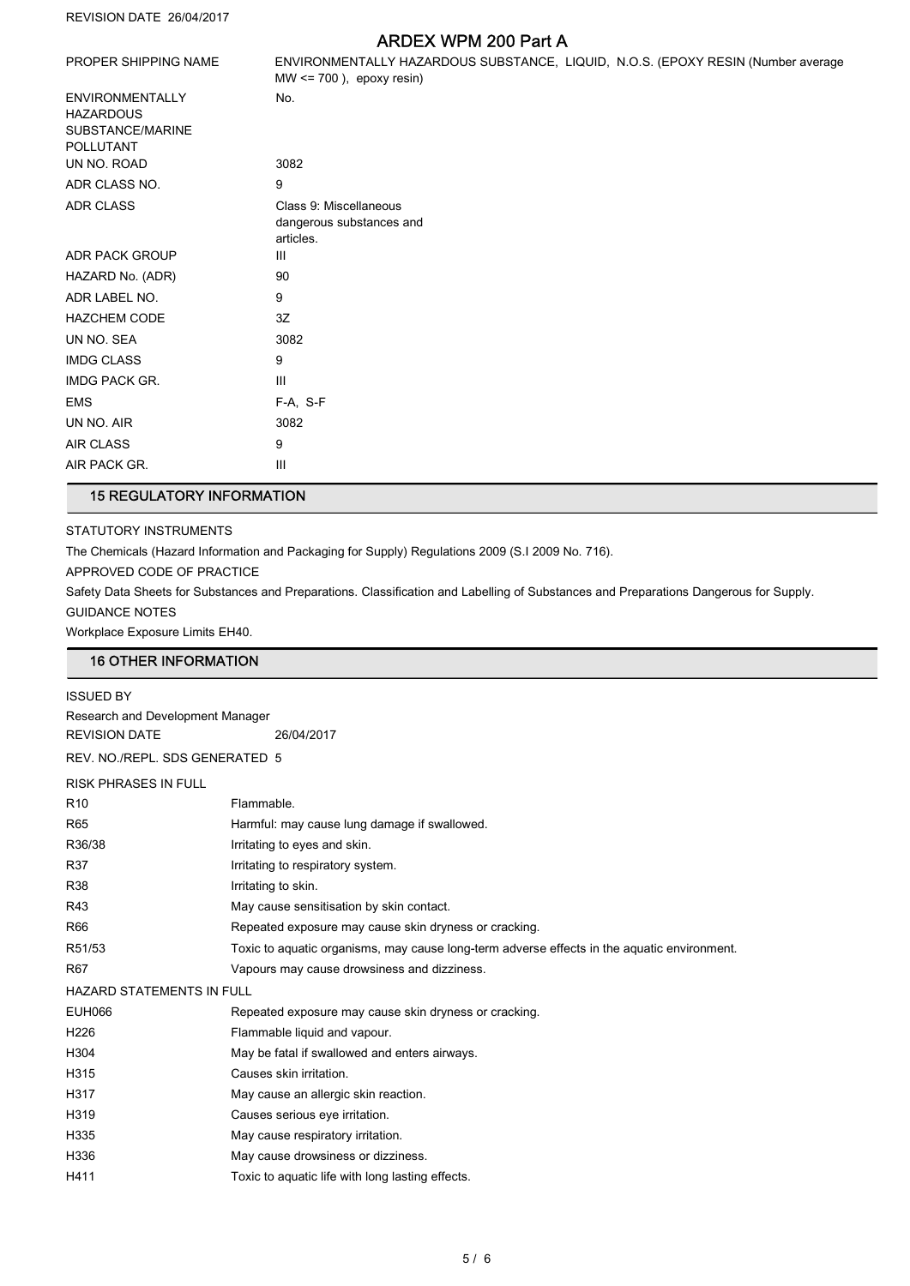REVISION DATE 26/04/2017

# ARDEX WPM 200 Part A

|                                                                             | ANDLA III III ZUU LAILA                                                                                          |
|-----------------------------------------------------------------------------|------------------------------------------------------------------------------------------------------------------|
| PROPER SHIPPING NAME                                                        | ENVIRONMENTALLY HAZARDOUS SUBSTANCE, LIQUID, N.O.S. (EPOXY RESIN (Number average<br>$MW \le 700$ ), epoxy resin) |
| <b>ENVIRONMENTALLY</b><br><b>HAZARDOUS</b><br>SUBSTANCE/MARINE<br>POLLUTANT | No.                                                                                                              |
| UN NO. ROAD                                                                 | 3082                                                                                                             |
| ADR CLASS NO.                                                               | 9                                                                                                                |
| <b>ADR CLASS</b>                                                            | Class 9: Miscellaneous<br>dangerous substances and<br>articles.                                                  |
| <b>ADR PACK GROUP</b>                                                       | Ш                                                                                                                |
| HAZARD No. (ADR)                                                            | 90                                                                                                               |
| ADR LABEL NO.                                                               | 9                                                                                                                |
| <b>HAZCHEM CODE</b>                                                         | 3Z                                                                                                               |
| UN NO. SEA                                                                  | 3082                                                                                                             |
| <b>IMDG CLASS</b>                                                           | 9                                                                                                                |
| <b>IMDG PACK GR.</b>                                                        | III                                                                                                              |
| <b>EMS</b>                                                                  | F-A, S-F                                                                                                         |
| UN NO. AIR                                                                  | 3082                                                                                                             |
| <b>AIR CLASS</b>                                                            | 9                                                                                                                |
| AIR PACK GR.                                                                | Ш                                                                                                                |

# 15 REGULATORY INFORMATION

STATUTORY INSTRUMENTS

The Chemicals (Hazard Information and Packaging for Supply) Regulations 2009 (S.I 2009 No. 716).

APPROVED CODE OF PRACTICE

Safety Data Sheets for Substances and Preparations. Classification and Labelling of Substances and Preparations Dangerous for Supply. GUIDANCE NOTES

Workplace Exposure Limits EH40.

### 16 OTHER INFORMATION

| <b>ISSUED BY</b>                 |                                                                                             |  |  |  |
|----------------------------------|---------------------------------------------------------------------------------------------|--|--|--|
| Research and Development Manager |                                                                                             |  |  |  |
| <b>REVISION DATE</b>             | 26/04/2017                                                                                  |  |  |  |
| REV. NO./REPL. SDS GENERATED 5   |                                                                                             |  |  |  |
| <b>RISK PHRASES IN FULL</b>      |                                                                                             |  |  |  |
| R <sub>10</sub>                  | Flammable.                                                                                  |  |  |  |
| R65                              | Harmful: may cause lung damage if swallowed.                                                |  |  |  |
| R36/38                           | Irritating to eyes and skin.                                                                |  |  |  |
| R37                              | Irritating to respiratory system.                                                           |  |  |  |
| <b>R38</b>                       | Irritating to skin.                                                                         |  |  |  |
| R43                              | May cause sensitisation by skin contact.                                                    |  |  |  |
| R66                              | Repeated exposure may cause skin dryness or cracking.                                       |  |  |  |
| R51/53                           | Toxic to aquatic organisms, may cause long-term adverse effects in the aquatic environment. |  |  |  |
| R67                              | Vapours may cause drowsiness and dizziness.                                                 |  |  |  |
| HAZARD STATEMENTS IN FULL        |                                                                                             |  |  |  |
| <b>EUH066</b>                    | Repeated exposure may cause skin dryness or cracking.                                       |  |  |  |
| H226                             | Flammable liquid and vapour.                                                                |  |  |  |
| H304                             | May be fatal if swallowed and enters airways.                                               |  |  |  |
| H315                             | Causes skin irritation.                                                                     |  |  |  |
| H317                             | May cause an allergic skin reaction.                                                        |  |  |  |
| H319                             | Causes serious eye irritation.                                                              |  |  |  |
| H335                             | May cause respiratory irritation.                                                           |  |  |  |
| H336                             | May cause drowsiness or dizziness.                                                          |  |  |  |
| H411                             | Toxic to aquatic life with long lasting effects.                                            |  |  |  |